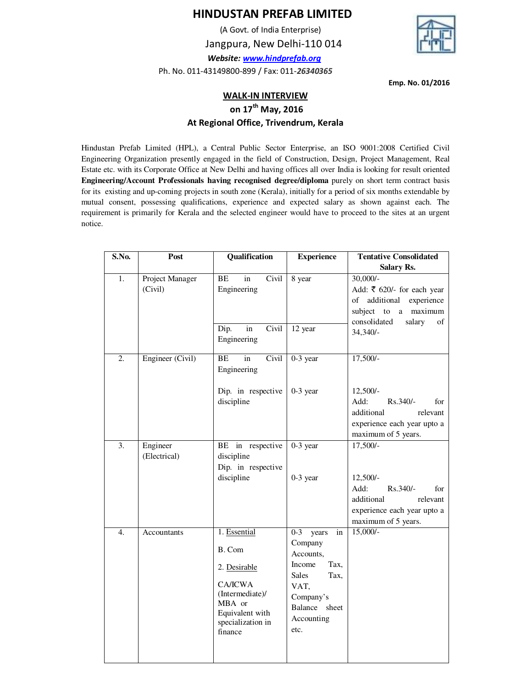## **HINDUSTAN PREFAB LIMITED**

 (A Govt. of India Enterprise) Jangpura, New Delhi-110 014  *Website: www.hindprefab.org* Ph. No. 011-43149800-899 / Fax: 011-*26340365*



**Emp. No. 01/2016** 

## **WALK-IN INTERVIEW**

 **on 17th May, 2016**

## **At Regional Office, Trivendrum, Kerala**

Hindustan Prefab Limited (HPL), a Central Public Sector Enterprise, an ISO 9001:2008 Certified Civil Engineering Organization presently engaged in the field of Construction, Design, Project Management, Real Estate etc. with its Corporate Office at New Delhi and having offices all over India is looking for result oriented **Engineering/Account Professionals having recognised degree/diploma** purely on short term contract basis for its existing and up-coming projects in south zone (Kerala), initially for a period of six months extendable by mutual consent, possessing qualifications, experience and expected salary as shown against each. The requirement is primarily for Kerala and the selected engineer would have to proceed to the sites at an urgent notice.

| S.No.            | Post                       | Qualification                                                                                                                            | <b>Experience</b>                                                                                                                                    | <b>Tentative Consolidated</b>                                                                                                                    |
|------------------|----------------------------|------------------------------------------------------------------------------------------------------------------------------------------|------------------------------------------------------------------------------------------------------------------------------------------------------|--------------------------------------------------------------------------------------------------------------------------------------------------|
|                  |                            |                                                                                                                                          |                                                                                                                                                      | Salary Rs.                                                                                                                                       |
| 1.               | Project Manager<br>(Civil) | Civil<br>BE<br>in<br>Engineering                                                                                                         | 8 year                                                                                                                                               | $30,000/-$<br>Add: ₹ 620/- for each year<br>of additional<br>experience<br>maximum<br>subject to a<br>consolidated<br>salary<br>of<br>$34,340/-$ |
|                  |                            | in<br>Civil<br>Dip.<br>Engineering                                                                                                       | 12 year                                                                                                                                              |                                                                                                                                                  |
| $\overline{2}$ . | Engineer (Civil)           | Civil<br>BE<br>in<br>Engineering                                                                                                         | $0-3$ year                                                                                                                                           | $17,500/-$                                                                                                                                       |
|                  |                            | Dip. in respective<br>discipline                                                                                                         | $0-3$ year                                                                                                                                           | $12,500/-$<br>Add:<br>Rs.340/-<br>for<br>additional<br>relevant<br>experience each year upto a<br>maximum of 5 years.                            |
| 3.               | Engineer<br>(Electrical)   | BE in respective<br>discipline<br>Dip. in respective<br>discipline                                                                       | $0-3$ year<br>$0-3$ year                                                                                                                             | $17,500/-$<br>$12,500/-$<br>Add:<br>$Rs.340/-$<br>for<br>additional<br>relevant<br>experience each year upto a<br>maximum of 5 years.            |
| $\overline{4}$ . | Accountants                | 1. Essential<br>B. Com<br>2. Desirable<br><b>CA/ICWA</b><br>(Intermediate)/<br>MBA or<br>Equivalent with<br>specialization in<br>finance | $0 - 3$<br>years<br>in<br>Company<br>Accounts,<br>Tax,<br>Income<br><b>Sales</b><br>Tax.<br>VAT,<br>Company's<br>Balance sheet<br>Accounting<br>etc. | $15,000/-$                                                                                                                                       |